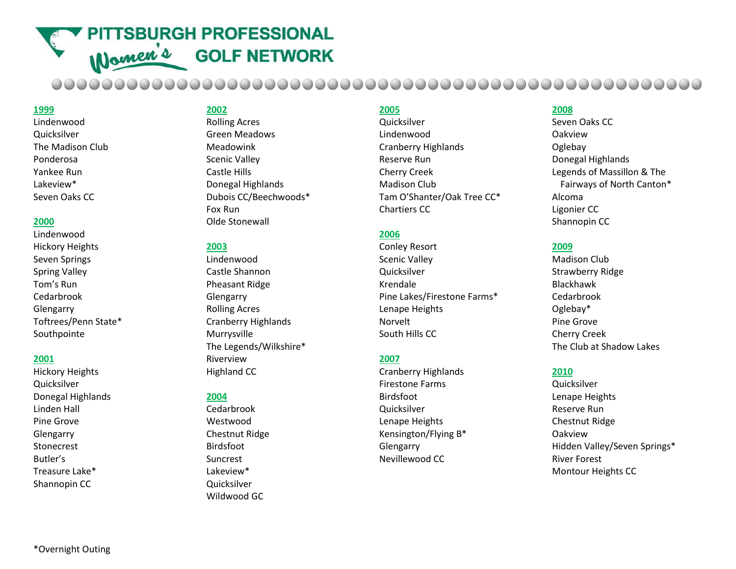**PITTSBURGH PROFESSIONAL** Women's **GOLF NETWORK** 

#### **1999**

Lindenwood Quicksilver The Madison Club Ponderosa Yankee Run Lakeview\* Seven Oaks CC

#### **2000**

Lindenwood Hickory Heights Seven Springs Spring Valley Tom's Run Cedarbrook Glengarry Toftrees/Penn State\* Southpointe

#### **2001**

Hickory Heights **Quicksilver** Donegal Highlands Linden Hall Pine Grove Glengarry Stonecrest Butler's Treasure Lake\* Shannopin CC

## **2002**

Rolling Acres Green Meadows Meadowink Scenic Valley Castle Hills Donegal Highlands Dubois CC/Beechwoods\* Fox Run Olde Stonewall

#### **2003**

Lindenwood Castle Shannon Pheasant Ridge Glengarry Rolling Acres Cranberry Highlands Murrysville The Legends/Wilkshire\* Riverview Highland CC

#### **2004**

Cedarbrook Westwood Chestnut Ridge Birdsfoot Suncrest Lakeview\* Quicksilver Wildwood GC

## **2005**

**Quicksilver** Lindenwood Cranberry Highlands Reserve Run Cherry Creek Madison Club Tam O'Shanter/Oak Tree CC\* Chartiers CC

## **2006**

Conley Resort Scenic Valley **Quicksilver** Krendale Pine Lakes/Firestone Farms\* Lenape Heights Norvelt South Hills CC

### **2007**

Cranberry Highlands Firestone Farms Birdsfoot **Quicksilver** Lenape Heights Kensington/Flying B\* **Glengarry** Nevillewood CC

### **2008**

Seven Oaks CC Oakview Oglebay Donegal Highlands Legends of Massillon & The Fairways of North Canton\* Alcoma Ligonier CC Shannopin CC

#### **2009**

Madison Club Strawberry Ridge Blackhawk Cedarbrook Oglebay\* Pine Grove Cherry Creek The Club at Shadow Lakes

#### **2010**

**Quicksilver** Lenape Heights Reserve Run Chestnut Ridge Oakview Hidden Valley/Seven Springs\* River Forest Montour Heights CC